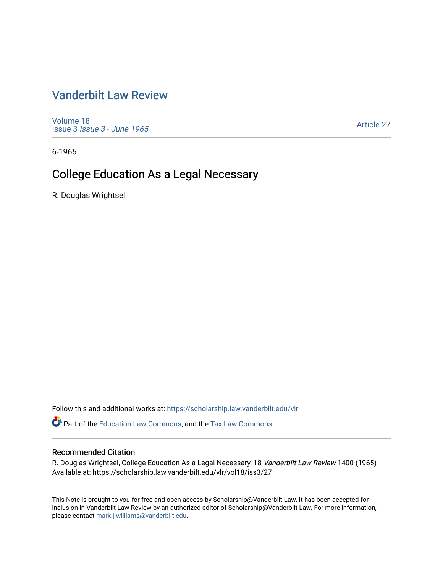# [Vanderbilt Law Review](https://scholarship.law.vanderbilt.edu/vlr)

[Volume 18](https://scholarship.law.vanderbilt.edu/vlr/vol18) Issue 3 [Issue 3 - June 1965](https://scholarship.law.vanderbilt.edu/vlr/vol18/iss3) 

[Article 27](https://scholarship.law.vanderbilt.edu/vlr/vol18/iss3/27) 

6-1965

# College Education As a Legal Necessary

R. Douglas Wrightsel

Follow this and additional works at: [https://scholarship.law.vanderbilt.edu/vlr](https://scholarship.law.vanderbilt.edu/vlr?utm_source=scholarship.law.vanderbilt.edu%2Fvlr%2Fvol18%2Fiss3%2F27&utm_medium=PDF&utm_campaign=PDFCoverPages)

Part of the [Education Law Commons,](http://network.bepress.com/hgg/discipline/596?utm_source=scholarship.law.vanderbilt.edu%2Fvlr%2Fvol18%2Fiss3%2F27&utm_medium=PDF&utm_campaign=PDFCoverPages) and the [Tax Law Commons](http://network.bepress.com/hgg/discipline/898?utm_source=scholarship.law.vanderbilt.edu%2Fvlr%2Fvol18%2Fiss3%2F27&utm_medium=PDF&utm_campaign=PDFCoverPages)

## Recommended Citation

R. Douglas Wrightsel, College Education As a Legal Necessary, 18 Vanderbilt Law Review 1400 (1965) Available at: https://scholarship.law.vanderbilt.edu/vlr/vol18/iss3/27

This Note is brought to you for free and open access by Scholarship@Vanderbilt Law. It has been accepted for inclusion in Vanderbilt Law Review by an authorized editor of Scholarship@Vanderbilt Law. For more information, please contact [mark.j.williams@vanderbilt.edu.](mailto:mark.j.williams@vanderbilt.edu)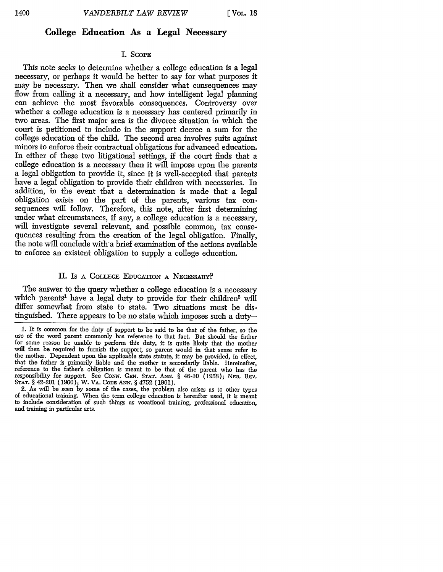# **College Education As a Legal Necessary**

### I. **SCOPE**

This note seeks to determine whether a college education is a legal necessary, or perhaps it would be better to say for what purposes it may be necessary. Then we shall consider what consequences may flow from calling it a necessary, and how intelligent legal planning can achieve the most favorable consequences. Controversy over whether a college education is a necessary has centered primarily in two areas. The first major area is the divorce situation in which the court is petitioned to include in the support decree a sum for the college education of the child. The second area involves suits against minors to enforce their contractual obligations for advanced education. In either of these two litigational settings, if the court finds that a college education is a necessary then it will impose upon the parents have a legal obligation to provide their children with necessaries. In addition, in the event that a determination is made that a legal obligation exists on the part of the parents, various tax conunder what circumstances, if any, a college education is a necessary, will investigate several relevant, and possible common, tax consequences resulting from the creation of the legal obligation. Finally, the note will conclude with-a brief examination of the actions available to enforce an existent obligation to supply a college education.

### **II.** Is **A COLLEGE EDUCATION A NECESSARY?**

The answer to the query whether a college education is a necessary which parents<sup>1</sup> have a legal duty to provide for their children<sup>2</sup> will differ somewhat from state to state. Two situations must be distinguished. There appears to be no state which imposes such a duty-

2. As will be seen **by** some of the cases, the problem also arises as to other types of educational training. When the term college education is hereafter used, it is meant to include consideration of such things as vocational training, professional education, and training in particular arts.

**<sup>1.</sup> It** is common for the duty of support to be said to be that of the father, so the use of the word parent commonly has reference to that fact. But should the father for some reason be unable to perform this duty, it is quite likely that the mother will then be required to furnish the support, so parent would in that sense refer to the mother. Dependent upon the applicable state statute, it may be provided, in effect, that the father is primarily liable and the mother is secondarily liable. Hereinafter, reference to the father's obligation is meant to be that of the parent who has the responsibility for support. See CONN. GEN. STAT. ANN. § 46-10 (1958); NEB. REV. **STAT. §** 42-201 **(1960);** W. **VA. CODE ANN. §** 4752 **(1961).**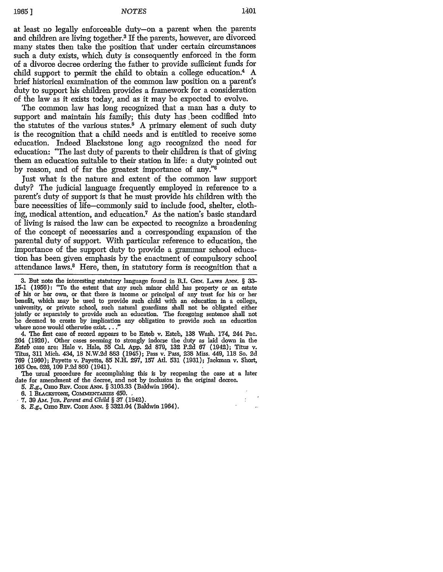$\tilde{\zeta}$ 

at least no legally enforceable duty-on a parent when the parents and children are living together.<sup>3</sup> If the parents, however, are divorced many states then take the position that under certain circumstances such a duty exists, which duty is consequently enforced in the form of a divorce decree ordering the father to provide sufficient funds for child support to permit the child to obtain a college education.4 A brief historical examination of the common law position on a parent's duty to support his children provides a framework for a consideration of the law as it exists today, and as it may be expected to evolve.

The common law has long recognized that a man has a duty to support and maintain his family; this duty has been codified into the statutes of the various states.<sup>5</sup> A primary element of such duty is the recognition that a child needs and is entitled to receive some education. Indeed Blackstone long ago recognized the need for education: "The last duty of parents to their children is that of giving them an education suitable to their station in life: a duty pointed out by reason, and of far the greatest importance of any."6

Just what is the nature and extent of the common law support duty? The judicial language frequently employed in reference to a parent's duty of support is that he must provide his children with the bare necessities of life-commonly said to include food, shelter, clothing, medical attention, and education.7 As the nation's basic standard of living is raised the law can be expected to recognize a broadening of the concept of necessaries and a corresponding expansion of the parental duty of support. With particular reference to education, the importance of the support duty to provide a grammar school education has been given emphasis by the enactment of compulsory school attendance laws.<sup>8</sup> Here, then, in statutory form is recognition that a

4. The first case of record appears to be Esteb v. Esteb, 138 Wash. 174, 244 Pac. 264 (1926). Other cases seeming to strongly indorse the duty as laid down in the *Esteb* case are: Hale v. Hale, 55 Cal. App. 2d 879, 132 P.2d 67 (1942); Titus v. Titus, **311** Mich. 434, 18 N.W.2d 883 (1945); Pass v. Pass, 238 Miss. 449, 118 So. 2d **769** (1960); Payette v. Payette, 85 N.H. 297, 157 Atl. 531 (1931); Jackman v. Short, **165** Ore. 626, **109** P.2d 860 (1941).

The usual procedure for accomplishing this is by reopening the case at a later date for amendment of the decree, and not by inclusion in the original decree.

*5. E.g.,* Omo BEv. CoDE *ANN.* § 3103.33 (Baldwin 1964).

**6. 1 BLACKSTONE, COMMENTARIES 450.** 

**7.** 39 Am. **Jun.** *Parent and Child* § 37 (1942).

8. E.g., Orno REV. CODE ANN. § 3321.04 (Baldwin 1964).

**<sup>3.</sup>** But note the interesting statutory language found in R.I. **GEN.** LAws **ANN.** § 33- 15-1 (1956): "To the extent that any such minor child has property or an estate of his or her own, or that there is income or principal of any trust for his or her benefit, which may be used to provide such child with an education in a college, university, or private school, such natural guardians shall not be obligated either jointly or separately to provide such an education. The foregoing sentence shall not be deemed to create by implication any obligation to provide such an education where none would otherwise exist...."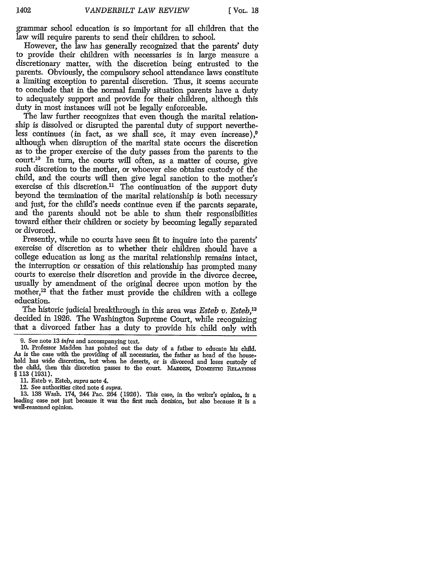grammar school education is so important for all children that the law will require parents to send their children to school.

However, the law has generally recognized that the parents' duty to provide their children with necessaries is in large measure a discretionary matter, with the discretion being entrusted to the parents. Obviously, the compulsory school attendance laws constitute a limiting exception to parental discretion. Thus, it seems accurate to conclude that in the normal family situation parents have a duty to adequately support and provide for their children, although this duty in most instances will not be legally enforceable.

The law further recognizes that even though the marital relationship is dissolved or disrupted the parental duty of support nevertheless continues (in fact, as we shall sce, it may even increase),<sup>9</sup> although when disruption of the marital state occurs the discretion as to the proper exercise of the duty passes from the parents to the court.<sup>10</sup> In turn, the courts will often, as a matter of course, give such discretion to the mother, or whoever else obtains custody of the child, and the courts will then give legal sanction to the mother's exercise of this discretion.<sup>11</sup> The continuation of the support duty beyond the termination of the marital relationship is both necessary<br>and just, for the child's needs continue even if the parcnts separate,<br>and the parents should not be able to shun their responsibilities<br>toward either th or divorced.

Presently, while no courts have seen fit to inquire into the parents' exercise of discretion as to whether their children should have a college education as long as the marital relationship remains intact, the interruption or cessation of this relationship has prompted many courts to exercise their discretion and provide in the divorce decree, usually by amendment of the original decree upon motion by the mother,<sup>12</sup> that the father must provide the children with a college education.

The historic judicial breakthrough in this area was *Esteb v. Esteb,13* decided in 1926. The Washington Supreme Court, while recognizing that a divorced father has a duty to provide his child only with

<sup>9.</sup> See note 13 *infra* and accompanying text.

**<sup>10.</sup>** Professor Madden has pointed out the duty of a father to educate his child. As is the case with the providing of all necessaries, the father as head of the household has wide discretion, but when he deserts, or is divorced and loses custody of the child, then this discretion passes to the court. MADDEN, DOMESTIC RELATIONS *§* **113** (1931).

**<sup>11.</sup>** Esteb v. Esteb, *supra* note 4.

<sup>12.</sup> See authorities cited note 4 *supra.*

**<sup>13. 138</sup>** Wash. 174, 244 Pac. 264 (1926). This case, in the writer's opinion, is a leading case not just because it was the first such decision, but also because it is a well-reasoned opinion.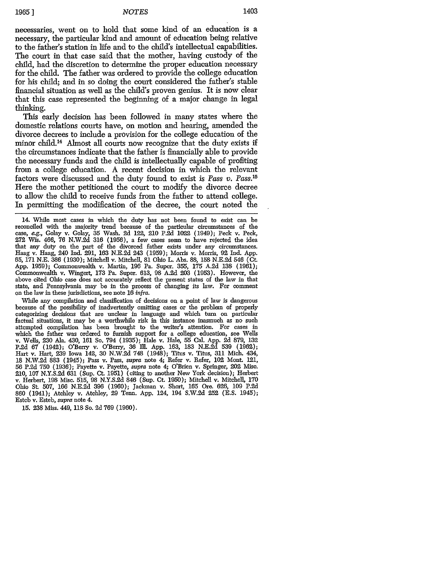#### *NOTES*

1403

necessaries, went on to hold that some kind of an education is a necessary, the particular kind and amount of education being relative to the father's station in life and to the child's intellectual capabilities. The court in that case said that the mother, having custody of the child, had the discretion to determine the proper education necessary for the child. The father was ordered to provide the college education for his child; and in so doing the court considered the father's stable financial situation as well as the child's proven genius. It is now clear that this case represented the beginning of a major change in legal thinking.

This early decision has been followed in many states where the domestic relations courts have, on motion and hearing, amended the divorce decrees to include a provision for the college education of the minor child.14 Almost all courts now recognize that the duty exists if the circumstances indicate that the father is financially able to provide the necessary funds and the child is intellectually capable of profiting from a college education. A recent decision in which the relevant factors were discussed and the duty found to exist is *Pass v. Pass.5* Here the mother petitioned the court to modify the divorce decree to allow the child to receive funds from the father to attend college. In permitting the modification of the decree, the court noted the

14. While most cases in which the duty has not been found to exist can be reconciled with the majority trend because of the particular circumstances of the case, *e.g.,* Golay v. Golay, 35 Wash. 2d 122, 210 **P.2d** 1022 (1949); Peck v. Peck, **272** Wis. 466, 76 N.W.2d 316 (1956), a few cases seem to have rejected the idea that any duty on the part of the divorced father exists under any circumstances. Haag v. Haag, 240 Ind. 291, **163** N.E.2d 243 (1959); Morris v. Morris, **92** Ind. App. 65, **171** N.E. 386 (1930); Mitchell v. Mitchell, **81** Ohio L. Abs. 88, **15&** N.E.2d 546 (Ct. App. 1959); Commonwealth v. Martin, 196 Pa. Super. 355, **175** A.2d 138 (1961); Commonwealth v. Wingert, **173** Pa. Super. 613, 98 A.2d 203 (1953). However, the above cited Ohio case does not accurately reflect the present status of the law in that state, and Pennsylvania may be in the process of changing its law. For comment on the law in these jurisdictions, see note 16 *infra.*

While any compilation and classification of decisions on a point of law is dangerous because of the possibility of inadvertently omitting cases or the problem of properly categorizing decisions that are unclear in language and which turn on particular factual situations, it may be a worthwhile risk in this instance inasmuch as no such attempted compilation has been brought to the writer's attention. For cases in which the father was ordered to furnish support for a college education, see Wells v. Wells, **230** Ala. 430, 161 So. 794 (1935); Hale v. Hale, 55 Cal. App. 2d 879, 132 **P.2d** 67 (1942); O'Berry v. O'Berry, 36 **Ill.** App. 163, **183** N.E.2d 539 (1962); Hart v. Hart, 239 Iowa 142, 30 N.W.2d **748** (1948); Titus v. Titus, 311 Mich. 434, 18 N.W.2d 883 (1945); Pass v. Pass, *supra* note 4; Refer v. Refer, 102 Mont. 121, 56 **P.2d** 750 (1936); Payette v. Payette, *supra* note 4; O'Brien v. Springer, 202 Misc. 210, **107** N.Y.S.2d **631** (Sup. Ct. 1951) (citing to another New York decision); Herbert v. Herbert, 198 Misc. 515, 98 N.Y.S.2d 846 (Sup. Ct. 1950); Mitchell v. Mitchell, 170 Ohio St. 507, **166** N.E.2d 396 (1960); Jackman v. Short, **165** Ore. 626, **109** P.2d **860** (1941); Atchley v. Atchley, **29** Tenn. App. 124, 194 S.W.2d 252 (E.S. 1945); Esteb v. Esteb, *supra* note 4.

15. **238** Miss. 449, 118 So. **2d** 769 (1960).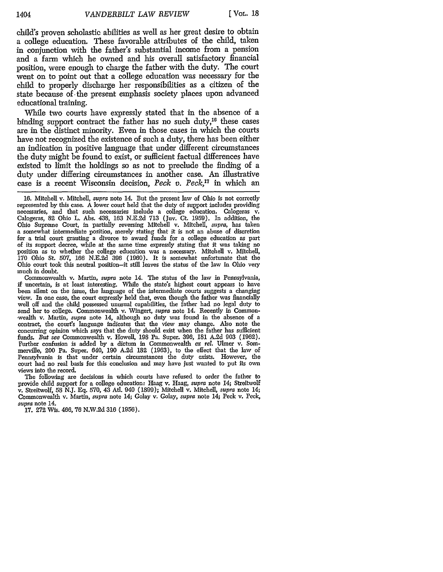child's proven scholastic abilities as well as her great desire to obtain a college education. These favorable attributes of the child, taken in conjunction with the father's substantial income from a pension and a farm which he owned and his overall satisfactory financial position, were enough to charge the father with the duty. The court went on to point out that a college education was necessary for the child to properly discharge her responsibilities as a citizen of the state because of the present emphasis society places upon advanced educational training.

While two courts have expressly stated that in the absence of a binding support contract the father has no such duty,16 these cases are in the distinct minority. Even in those cases in which the courts have not recognized the existence of such a duty, there has been either an indication in positive language that under different circumstances the duty might be found to exist, or sufficient factual differences have existed to limit the holdings so as not to preclude the finding of a duty under differing circumstances in another case. An illustrative case is a recent Wisconsin decision, *Peck v. Peck,17* in which an

Commonvealth v. Martin, *supra* note 14. The status of the law in Pennsylvania, if uncertain, is at least interesting. While the **state's** highest court appears to have been silent on the issue, the language of the intermediate courts suggests a changing view. In one case, the court expressly held that, even though the father was financially well off and the child possessed unusual capabilities, the father had no legal duty to send her to college. Commonwealth v. Wingert, *supra* note 14. Recently in Common- -wealth v. Martin, *supra* note 14, although no duty was found in the absence of a contract, the court's language indicates that the view may change. Also note the concurring opinion which says that the duty should exist when the father has sufficient funds. *But see* Commonwealth v. Howell, 198 Pa. Super. 396, 181 A.2d 903 (1962). Further confusion is added by a dictum in Commonwealth *ex rel.* Ulmer v. Sommerville, 200 Pa. Super. 640, 190 **A.2d** 182 (1963), to the effect that the law of Pennsylvania is that under certain circumstances the duty exists. However, the court had no real basis for this conclusion and may have just wanted to put its own views into the record.

The following are decisions in which courts have refused to order the father to provide child support for a college education: Haag v. Haag, *supra* note 14; Streltwolf v. Streitwolf, 58 N.J. **Eq.** 570, 43 Atl. 940 (1899); Mitchell v. Mitchell, *supra* note 14; Commonwealth v. Martin, *supra* note 14; Golay v. Colay, *supra* note 14; Peck v. Peck, *supra* note 14.

17. **272** Wis. 466, **76** N.W.2d **316** (1956).

<sup>16.</sup> Mitchell v. Mitchell, *supra* note 14. But the present law of Ohio is not correctly represented by this case. A lower court held that the duty of support includes providing necessaries, and that such necessaries include a college education. Calogeras v. Calogeras, 82 Ohio L. Abs. 438, 163 N.E.2d 713 (Juv. Ct. 1959). In addition, the Ohio Supreme Court, in partially reversing Mitchell v. Mitchell, *supra,* has taken a somewhat intermediate position, merely stating that it is not an abuse of discretion for a trial court granting a divorce to award funds for a college education as part of its support decree, while at the same time expressly stating that it was taking no position as to whether the college education was a necessary. Mitchell v. Mitchell, 170 Ohio St. 507, 166 N.E.2d 396 (1960). It is somewhat unfortunate that the Ohio court took this neutral position-it still leaves the status of the law in Ohio very much in doubt.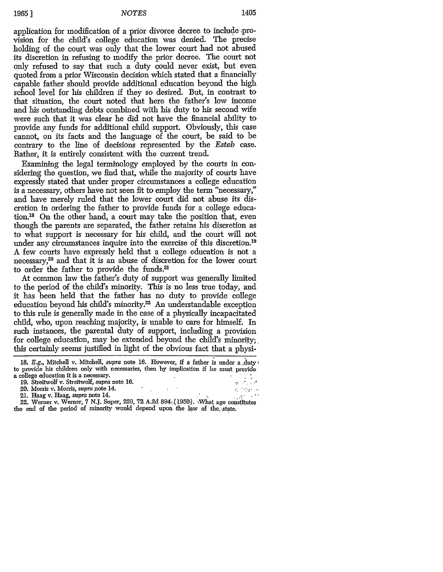19651

1405

 $\sim 10$ 

application for modification of a prior divorce decree to include provision for the child's college education was denied. The precise holding of the court was only that the lower court had not abused its discretion in refusing to modify the prior decree. The court not only refused to say that such a duty could never exist, but even quoted from a prior Wisconsin decision which stated that a financially capable father should provide additional education beyond the high school level for his children if they so desired. But, in contrast to that situation, the court noted that here the father's low income and his outstanding debts combined with his duty to his second wife were such that it was clear he did not have the financial ability to provide any funds for additional child support. Obviously, this case cannot, on its facts and the language of the court, be said to be contrary to the line of decisions represented by the *Esteb* case. Rather, it is entirely consistent with the current trend.

Examining the legal terminology employed by the courts in considering the question, we find that, while the majority of courts have expressly stated that under proper circumstances a college education is a necessary, others have not seen fit to employ the term "necessary," and have merely ruled that the lower court did not abuse its discretion in ordering the father to provide funds for a college education.18 On the other hand, a court may take the position that, even though the parents are separated, the father retains his discretion as to what support is necessary for his child, and the court will not under any circumstances inquire into the exercise of this discretion.<sup>19</sup> A few courts have expressly held that a college education is not a necessary,20 and that it is an abuse of discretion for the lower court to order the father to provide the funds.21

At common law the father's duty of support was generally limited to the period of the child's minority. This is no less true today, and it has been held that the father has no duty to provide college education beyond his child's minority.22 An understandable exception to this rule is generally made in the case of a physically incapacitated child, who, upon reaching majority, is unable to care for himself. In such instances, the parental duty of support, including a provision for college education, may be extended beyond the child's minority;. this certainly seems justified in light of the obvious fact that a physi-

- 19. Streitwolf v. Streitwoif, *supra* note **16.**
- 20. Morris v. Morris, *supra* note 14.<br>
21. Haag v. Haag, *supra* note 14.
- 21. Haag v. Haag, *supra* note 14.

22. Werner v. Werner, 7 N.J. Super, 229, **72** A.2d 894,(1950.). "What age constitutes the end of the period of minority would depend upon the law of the state.

<sup>18.</sup> *E.g.*, Mitchell v. Mitchell, *supra* note 16. However, if a father is under a duty, to provide his children only with necessaries, then **by** implication if he must proyide a college education it is a necessary.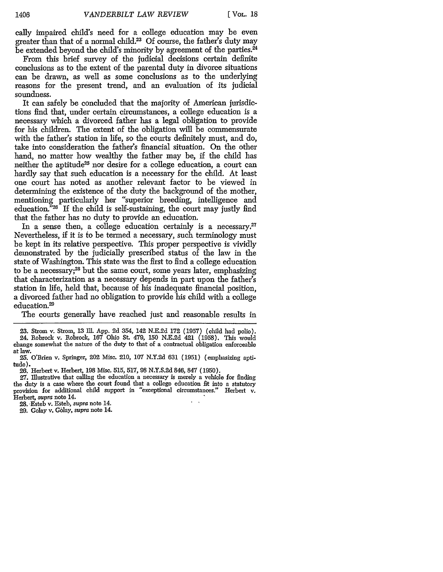cally impaired child's need for a college education may be even greater than that of a normal child.23 Of course, the father's duty may be extended beyond the child's minority by agreement of the parties.<sup>24</sup> From this brief survey of the judicial decisions certain definite

conclusions as to the extent of the parental duty in divorce situations can be drawn, as well as some conclusions as to the underlying reasons for the present trend, and an evaluation of its judicial soundness.

It can safely be concluded that the majority of American jurisdictions find that, under certain circumstances, a college education is a necessary which a divorced father has a legal obligation to provide for his children. The extent of the obligation will be commensurate with the father's station in life, so the courts definitely must, and do, take into consideration the father's financial situation. On the other hand, no matter how wealthy the father may be, if the child has neither the aptitude<sup>25</sup> nor desire for a college education, a court can hardly say that such education is a necessary for the child. At least one court has noted as another relevant factor to be viewed in determining the existence of the duty the background of the mother, mentioning particularly her "superior breeding, intelligence and education.<sup>"26</sup> If the child is self-sustaining, the court may justly find that the father has no duty to provide an education.

In a sense then, a college education certainly is a necessary.<sup>27</sup> Nevertheless, if it is to be termed a necessary, such terminology must be kept in its relative perspective. This proper perspective is vividly demonstrated by the judicially prescribed status of the law in the state of Washington. This state was the first to find a college education to be a necessary;28 but the same court, some years later, emphasizing that characterization as a necessary depends in part upon the father's station in life, held that, because of his inadequate financial position, a divorced father had no obligation to provide his child with a college education.<sup>29</sup>

The courts generally have reached just and reasonable results in

**23.** Strom v. Strom, 13 Ill. App. 2d 354, 142 N.E.2d 172 (1957) (child had polio). 24. Robrock v. Robrock, 167 Ohio St. 479, 150 N.E.2d 421 (1958). This would change somewhat the nature of the duty to that of a contractual obligation enforceable at law.

25. O'Brien v. Springer, 202 Misc. 210, **107 N.Y.2d** 631 (1951) (emphasizing aptitude).

**26.** Herbert v. Herbert, 198 Misc. **515, 517,** 98 N.Y.S.2d 846, **847** (1950).

**27.** Illustrative that calling the education a necessary is merely a vehicle for finding **the** duty is a case where the court found that a college education fit into a statutory provision for additional child support in "exceptional circumstances." Herbert v. Herbert, supra note 14.

28.,Esteb **v.** Esteb, supra note 14.

29. Colay v. Gblay, supra note **14.**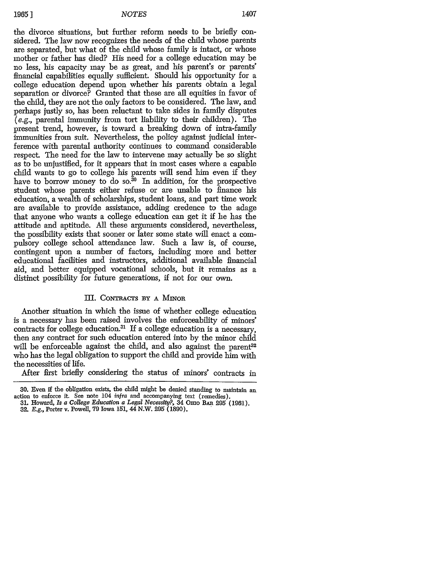the divorce situations, but further reform needs to be briefly considered. The law now recognizes the needs of the child whose parents are separated, but what of the child whose family is intact, or whose mother or father has died? His need for a college education may be no less, his capacity may be as great, and his parent's or parents' financial capabilities equally sufficient. Should his opportunity for a college education depend upon whether his parents obtain a legal separation or divorce? Granted that these are all equities in favor of the child, they are not the only factors to be considered. The law, and perhaps justly so, has been reluctant to take sides in family disputes (e.g., parental immunity from tort liability to their children). The present trend, however, is toward a breaking down of intra-family immunities from suit. Nevertheless, the policy against judicial interference with parental authority continues to command considerable respect. The need for the law to intervene may actually be so slight as to be unjustified, for it appears that in most cases where a capable child wants to go to college his parents will send him even if they have to borrow money to do so.<sup>30</sup> In addition, for the prospective student whose parents either refuse or are unable to finance his education, a wealth of scholarships, student loans, and part time work are available to provide assistance, adding credence to the adage that anyone who wants a college education can get it if he has the attitude and aptitude. All these arguments considered, nevertheless, the possibility exists that sooner or later some state will enact a compulsory college school attendance law. Such a law is, of course, contingent upon a number of factors, including more and better educational facilities and instructors, additional available financial aid, and better equipped vocational schools, but it remains as a distinct possibility for future generations, if not for our own.

#### III. CONTRACTS BY A MINOR

Another situation in which the issue of whether college education is a necessary has been raised involves the enforceability of minors' contracts for college education.<sup>31</sup> If a college education is a necessary, then any contract for such education entered into by the minor child will be enforceable against the child, and also against the parent<sup>32</sup> who has the legal obligation to support the child and provide him with the necessities of life.

After first briefly considering the status of minors' contracts in

**<sup>30.</sup>** Even if the obligation exists, the child might be denied standing to maintain an action to enforce it. See note 104 *infra* and accompanying text (remedies).

**<sup>31.</sup>** Howard, *Is a College Education a Legal Necessity?,* 34 Omo *BAR* **295** (1961). **32.** *E.g.,* Porter v. Powell, 79 Iowa 151, 44 N.W. **295 (1890).**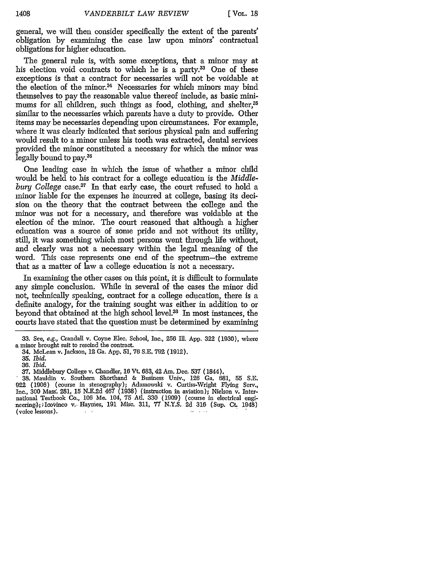general, we will then consider specifically the extent of the parents' obligation by examining the case law upon minors' contractual obligations for higher education.

The general rule is, with some exceptions, that a minor may at his election void contracts to which he is a party.<sup>33</sup> One of these exceptions is that a contract for necessaries will not be voidable at the election of the minor.<sup>34</sup> Necessaries for which minors may bind themselves to pay the reasonable value thereof include, as basic minimums for all children, such things as food, clothing, and shelter,<sup>35</sup> similar to the necessaries which parents have a duty to provide. Other items may be necessaries depending upon circumstances. For example, where it was clearly indicated that serious physical pain and suffering would result to a minor unless his tooth was extracted, dental services provided the minor constituted a necessary for which the minor was legally bound to pay.<sup>36</sup>

One leading case in which the issue of whether a minor child would be held to his contract for a college education is the *Middlebury College case.*<sup>37</sup> In that early case, the court refused to hold a minor liable for the expenses he incurred at college, basing its decision on the theory that the contract between the college and the minor was not for a necessary, and therefore was voidable at the election of the minor. The court reasoned that although a higher education was a source of some pride and not without its utility, still, it was something which most persons went through life without, and clearly was not a necessary within the legal meaning of the word. This case represents one end of the spectrum-the extreme that as a matter of law a college education is not a necessary.

In examining the other cases on this point, it is difficult to formulate any simple conclusion. While in several of the cases the minor did not, technically speaking, contract for a college education, there is a definite analogy, for the training sought was either in addition to or beyond that obtained at the high school level.38 In most instances, the courts have stated that the question must be determined by examining

<sup>33.</sup> See, e.g., Crandall v. Coyne Elec. School, Inc., **256** Inl. App. **322** (1930), where a minor brought suit to rescind the contract.

<sup>34.</sup> McLean v. Jackson, 12 Ga. App. 51, 76 S.E. 792 (1912).

*<sup>35.</sup> Ibid.* **36.** *Ibid.*

<sup>37.</sup> Middlebury College v. Chandler, 16 Vt. 683, 42 *Am.* Dec. 537 (1844).

<sup>38.</sup> Mauldin v. Southern Shorthand & Business Univ., 126 Ga. 681, 55 S.E. **922** (1906) (course in stenography); Adamovski v. Curtiss-Wright Flying Serv., Inc., 300 Mass. 281, 15 N.E.2d 467 (1938) (instruction in aviation); Nielson v. International Textbook Co., 106 Me. 104, 75 Ad. 330 (1909) (course in electrical engineering); Icoinco v.- Haymes, 191 Misc. 311, **77** N.Y.S. 2d **316** (Sup. Ct. 1948) (voice lessons). **Sales Street**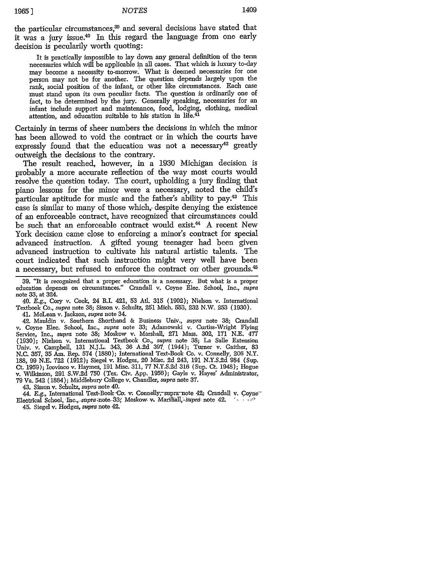the particular circumstances,<sup>39</sup> and several decisions have stated that it was a jury issue.4° In this regard the language from one early decision is pecularily worth quoting:

It is practically impossible to lay down any general definition of the term necessaries which will be applicable in all cases. That which is luxury to-day may become a necessity to-morrow. What is deemed necessaries for one person may not be for another. The question depends largely upon the rank, social position of the infant, or other like circumstances. Each case must stand upon its own peculiar facts. The question is ordinarily one of fact, to be determined by the jury. Generally speaking, necessaries for an infant include support and maintenance, food, lodging, clothing, medical attention, and education suitable to his station in life.<sup>41</sup>

Certainly in terms of sheer numbers the decisions in which the minor has been allowed to void the contract or in which the courts have expressly found that the education was not a necessary<sup>42</sup> greatly outweigh the decisions to the contrary.

The result reached, however, in a 1930 Michigan decision is probably a more accurate reflection of the way most courts would resolve the question today. The court, upholding a jury finding that piano lessons for the minor were a necessary, noted the child's particular aptitude for music and the father's ability to pay.43 This case is similar to many of those which, despite denying the existence of an enforceable contract, have recognized that circumstances could be such that an enforceable contract would exist.<sup>44</sup> A recent New York decision came close to enforcing a minor's contract for special advanced instruction. A gifted young teenager had been given advanced instruction to cultivate his natural artistic talents. The court indicated that such instruction might very well have been a necessary, but refused to enforce the contract on other grounds.<sup>45</sup>

39. "It is recognized that a proper education is a necessary. But what is a proper education depends on circumstances." Crandall v. Coyne Elec. School, Inc., *supra* note **33,** at 324.

40. *E.g.,* Cory v. Cook, 24 R.I. 421, 53 Atl. 315 (1902); Nielson v. International Textbook Co., *supra* note 38; Sisson v. Schultz, 251 Mich. 553, **232** N.W. 253 (1930). 41. McLean v. Jackson, *supra* note 34.

42. Mauldin v. Southern Shorthand & Business Univ., *supra* note 38; Crandall v. Coyne Elec. School, Inc., *supra* note 33; Adamowski v. Curtiss-Wright Flying Service, Inc., *supra* note 38; Moskow v. Marshall, 271 Mass. 302, 171 N.E. 477 (1930); Nielson v. International Textbook Co., *supra* note **38;** La Salle Extension Univ. v. Campbell, 131 N.J.L. 343, 36 A.2d 397. (1944); Turner v. Gaither, 83 N.C. 357, **35** Am. Rep. 574 (1880); International Text-Book Co. v. Connelly, 206 N.Y. 188, 99 N.E. **722** (1912); Siegel v. Hodges, 20 Misc. 2d 243, **191** N.Y.S.2d 984 (Sup. Ct. 1959); Icovinco v. Haymes, 191 Misc. 311, 77 N.Y.S.2d **316** (Sup. Ct. 1948); Hogue v. Wilkinson, **291** S.W.2d 750 (Tex. Civ. App. 1956); Gayle v. Hayes' Administrator, 79 Va. 542 (1884); Middlebury College v. Chandler, supra note 37.

43. Sisson v. Schultz, *supra* note 40.

44. E.g., International Text-Book-Co. v. Connelly, supra note 42; Crandall v. Coyne<sup>-</sup> Electrical School, Inc., sapra note. 33; Moskow v. Marshall, supra note 42. 45. Siegel v. Hodges, *supra* note 42.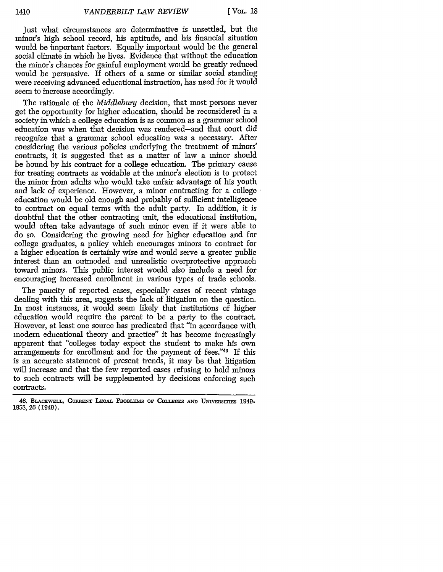Just what circumstances are determinative is unsettled, but the minor's high school record, his aptitude, and his financial situation would be important factors. Equally important would be the general social climate in which he lives. Evidence that without the education the minor's chances for gainful employment would be greatly reduced would be persuasive. If others of a same or similar social standing were receiving advanced educational instruction, has need for it would seem to increase accordingly.

The rationale of the *Middlebury* decision, that most persons never get the opportunity for higher education, should be reconsidered in a society in which a college education is as common as a grammar school education was when that decision was rendered-and that court did recognize that a grammar school education was a necessary. After considering the various policies underlying the treatment of minors' contracts, it is suggested that as a matter of law a minor should be bound by his contract for a college education. The primary cause for treating contracts as voidable at the minor's election is to protect the minor from adults who would take unfair advantage of his youth and lack of experience. However, a minor contracting for a college education would be old enough and probably of sufficient intelligence to contract on equal terms with the adult party. In addition, it is doubtful that the other contracting unit, the educational institution, would often take advantage of such minor even if it were able to do so. Considering the growing need for higher education and for college graduates, a policy which encourages minors to contract for a higher education is certainly wise and would serve a greater public interest than an outmoded and unrealistic overprotective approach toward minors. This public interest would also include a need for encouraging increased enrollment in various types of trade schools.

The paucity of reported cases, especially cases of recent vintage dealing with this area, suggests the lack of litigation on the question. In most instances, it would seem likely that institutions of higher education would require the parent to be a party to the contract. However, at least one source has predicated that "in accordance with modem educational theory and practice" it has become increasingly apparent that "colleges today expect the student to make his own arrangements for enrollment and for the payment of fees."46 If this is an accurate statement of present trends, it may be that litigation will increase and that the few reported cases refusing to hold minors to such contracts will be supplemented by decisions enforcing such contracts.

<sup>46.</sup> BLACKWELL, CURRENT LEGAL PROBLEMS OF COLLEGES AND UNIVERSITIES 1949-**1953,26** (1949).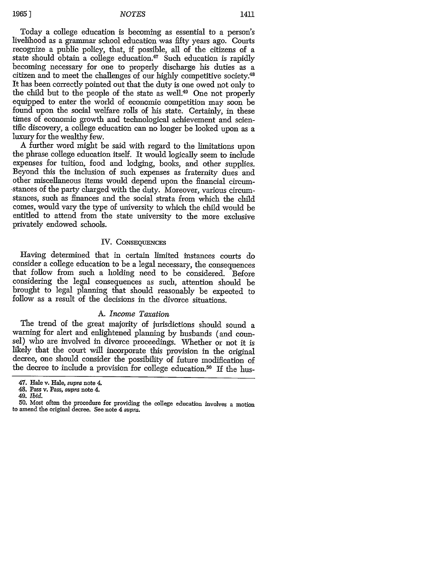## **1965** ] *NOTES* 1411

Today a college education is becoming as essential to a person's livelihood as a grammar school education was fifty years ago. Courts recognize a public policy, that, if possible, all of the citizens of a state should obtain a college education. $47$  Such education is rapidly becoming necessary for one to properly discharge his duties as a citizen and to meet the challenges of our highly competitive society.48 It has been correctly pointed out that the duty is one owed not only to the child but to the people of the state as well.<sup>49</sup> One not properly equipped to enter the world of economic competition may soon be found upon the social welfare rolls of his state. Certainly, in these times of economic growth and technological achievement and scientific discovery, a college education can no longer be looked upon as a luxury for the wealthy few.

A further word might be said with regard to the limitations upon the phrase college education itself. It would logically seem to include expenses for tuition, food and lodging, books, and other supplies. Beyond this the inclusion of such expenses as fraternity dues and other miscellaneous items would depend upon the financial circum- .stances of the party charged with the duty. Moreover, various circumstances, such as finances and the social strata from which the child comes, would vary the type of university to which the child would be entitled to attend from the state university to the more exclusive privately endowed schools.

#### IV. **CONSEQUENCES**

Having determined that in certain limited instances courts do consider a college education to be a legal necessary, the consequences that follow from such a holding need to be considered. Before considering the legal consequences as such, attention should be brought to legal planning that should reasonably be expected to follow as a result of the decisions in the divorce situations.

## A. *Income Taxation*

The trend of the great majority of jurisdictions should sound a warning for alert and enlightened planning by husbands (and counsel) who are involved in divorce proceedings. Whether or not it is likely that the court will incorporate this provision in the original decree, one should consider the possibility of future modification of the decree to include a provision for college education.50 If the hus-

**<sup>47.</sup> Hale** v. **Hale,** *supra* note 4.

<sup>48.</sup> Pass v. Pass, *supra* note 4.

<sup>49.</sup> *Ibid.*

<sup>50.</sup> Most often the procedure for providing the college education involves a motion to amend the original decree. See note 4 *supra.*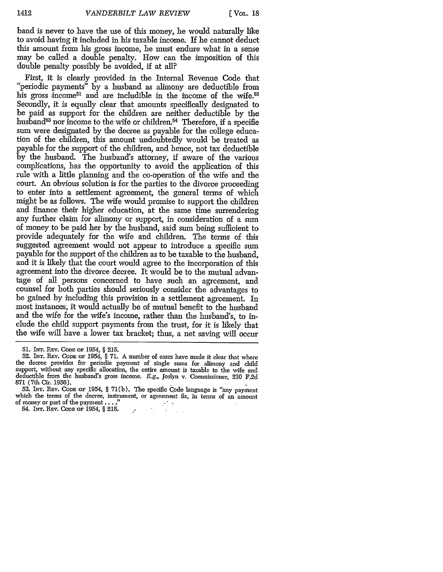band is never to have the use of this money, he would naturally like to avoid having it included in his taxable income. If he cannot deduct this amount from his gross income, he must endure what in a sense may be called a double penalty. How can the imposition of this double penalty possibly be avoided, if at all?

First, it is clearly provided in the Internal Revenue Code that "periodic payments" by a husband as alimony are deductible from his gross income<sup>51</sup> and are includible in the income of the wife.<sup>52</sup> Secondly, it is equally clear that amounts specifically designated to be paid as support for the children are neither deductible by the husband<sup>53</sup> nor income to the wife or children.<sup>54</sup> Therefore, if a specific sum were designated by the decree as payable for the college education of the children, this amount undoubtedly would be treated as payable for the support of the children, and hence, not tax deductible by the husband. The husband's attorney, if aware of the various complications, has the opportunity to avoid the application of this rule with a little planning and the co-operation of the wife and the court. An obvious solution is for the parties to the divorce proceeding to enter into a settlement agreement, the general terms of which might be as follows. The wife would promise to support the children and finance their higher education, at the same time surrendering any further claim for alimony or support, in consideration of a sum of money to be paid her by the husband, said sum being sufficient to provide adequately for the wife and children. The terms of this suggested agreement would not appear to introduce a specific sum payable for the support of the children as to be taxable to the husband, and it is likely that the court would agree to the incorporation of this agreement into the divorce decree. It would be to the mutual advantage of all persons concerned to have such an agreement, and counsel for both parties should seriously consider the advantages to be gained by including this provision in a settlement agreement. In most instances, it would actually be of mutual benefit to the husband and the wife for the wife's income, rather than the husband's, to include the child support payments from the trust, for it is likely that the wife will have a lower tax bracket; thus, a net saving will occur

<sup>51.</sup> INT. **REV.** CODE **OF** 1954, § 215.

<sup>52.</sup> INT. REV. CODE OF 1954, § 71. A number of cases have made it clear that where the decree provides for periodic payment of single sums for alimony and child support, without any specific allocation, the entire amount is taxable to the wife and deductible from the husband's gross income. *E.g.,* Joslyn v. Commissioner, **230** F.2d **871** (7th Cir. 1956).

<sup>53.</sup> INT. REV. CODE OF 1954, § 71(b). The specific Code language is "any payment which the terms of the decree, instrument, or agreement fix, in terms of an amount of money or part of the payment ...."<br>54. INT. REV. CODE OF of money or part of the payment **.** 54. INT. REv. **CODE OF** 1954, *§* 215.  $\frac{1}{2}$  ,  $\frac{1}{2}$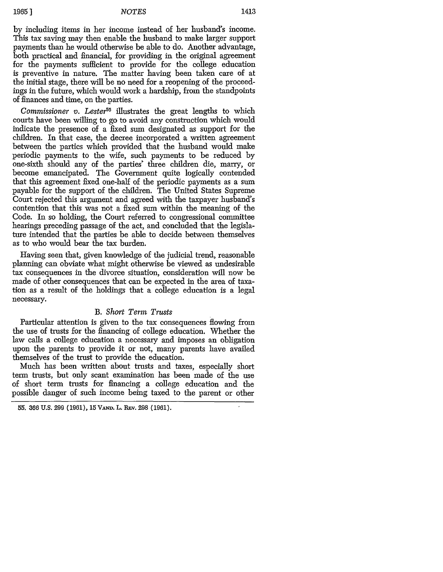by including items in her income instead of her husband's income. This tax saving may then enable the husband to make larger support payments than he would otherwise be able to do. Another advantage, both practical and financial, for providing in the original agreement for the payments sufficient to provide for the college education is preventive in nature. The matter having been taken care of at the initial stage, there will be no need for a reopening of the proceedings in the future, which would work a hardship, from the standpoints of finances and time, on the parties.

*Commissioner v. Lester55* illustrates the great lengths to which courts have been willing to go to avoid any construction which would indicate the presence of a fixed sum designated as support for the children. In that case, the decree incorporated a written agreement between the parties which provided that the husband would make periodic payments to the wife, such payments to be reduced by one-sixth should any of the parties' three children die, marry, or become emancipated. The Government quite logically contended that this agreement fixed one-half of the periodic payments as a sum payable for the support of the children. The United States Supreme Court rejected this argument and agreed with the taxpayer husband's contention that this was not a fixed sum within the meaning of the Code. In so holding, the Court referred to congressional committee hearings preceding passage of the act, and concluded that the legislature intended that the parties be able to decide between themselves as to who would bear the tax burden.

Having seen that, given knowledge of the judicial trend, reasonable planning can obviate what might otherwise be viewed as undesirable tax consequences in the divorce situation, consideration will now be made of other consequences that can be expected in the area of taxation as a result of the holdings that a college education is a legal necessary.

## *B. Short Term Trusts*

Particular attention is given to the tax consequences flowing from the use of trusts for the financing of college education. Whether the law calls a college education a necessary and imposes an obligation upon the parents to provide it or not, many parents have availed themselves of the trust to provide the education.

Much has been written about trusts and taxes, especially short term trusts, but only scant examination has been made of the use of short term trusts for financing a college education and the possible danger of such income being taxed to the parent or other

<sup>55. 366</sup> U.S. 299 (1961), 15 VAND. L. REV. 298 (1961).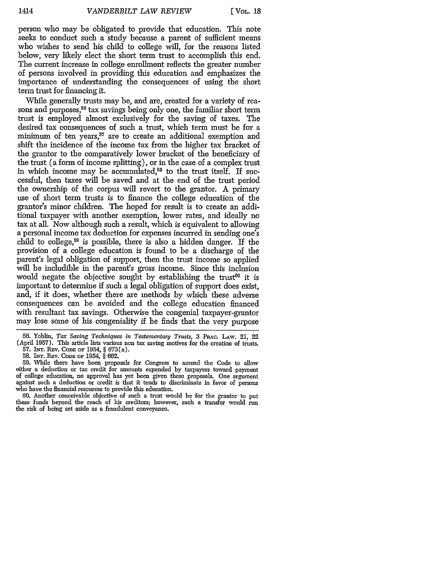person who may be obligated to provide that education. This note seeks to conduct such a study because a parent of sufficient means who wishes to send his child to college will, for the reasons listed below, very likely elect the short term trust to accomplish this end. The current increase in college enrollment reflects the greater number of persons involved in providing this education and emphasizes the importance of understanding the consequences of using the short term trust for financing it.

While generally trusts may be, and are, created for a variety of reasons and purposes,<sup>56</sup> tax savings being only one, the familiar short term trust is employed almost exclusively for the saving of taxes. The desired tax consequences of such a trust, which term must be for a minimum of ten years,<sup>57</sup> are to create an additional exemption and shift the incidence of the income tax from the higher tax bracket of the grantor to the comparatively lower bracket of the beneficiary of the trust (a form of income splitting), or in the case of a complex trust in which income may be accumulated, $58$  to the trust itself. If successful, then taxes will be saved and at the end of the trust period the ownership of the corpus will revert to the grantor. A primary use of short term trusts is to finance the college education of the grantor's minor children. The hoped for result is to create an additional taxpayer with another exemption, lower rates, and ideally no tax at all. Now although such a result, which is equivalent to allowing a personal income tax deduction for expenses incurred in sending one's child to college, 59 is possible, there is also a hidden danger. If the provision of a college education is found to be a discharge of the parent's legal obligation of support, then the trust income so applied will be includible in the parent's gross income. Since this inclusion would negate the objective sought by establishing the trust<sup>60</sup> it is important to determine if such a legal obligation of support does exist, and, if it does, whether there are methods by which these adverse consequences can be avoided and the college education financed with resultant tax savings. Otherwise the congenial taxpayer-grantor may lose some of his congeniality if he finds that the very purpose

<sup>56.</sup> Yohlin, *Tax Saving Techniques in Testamentary Trusts,* 3 PRAc. LAw. 21, 22 (April 1957). This article lists various non tax saving motives for the creation of trusts.

<sup>57.</sup> INT. **REv.** CODE or 1954, § 673(a).

<sup>58.</sup> INT. IREv. CODE OF 1954, § 662.

<sup>59.</sup> While there have been proposals for Congress to amend the Code to allow either a deduction or tax credit for amounts expended by taxpayers toward payment of college education, no approval has yet been given these proposals. One argument against such a deduction or credit is that it tends to discriminate in favor of persons who have the financial resources to provide this education.

<sup>60.</sup> Another conceivable objective of such a trust would be for the grantor to put these funds beyond the reach of his creditors; however, such a transfer would run the risk of being set aside as a fraudulent conveyance.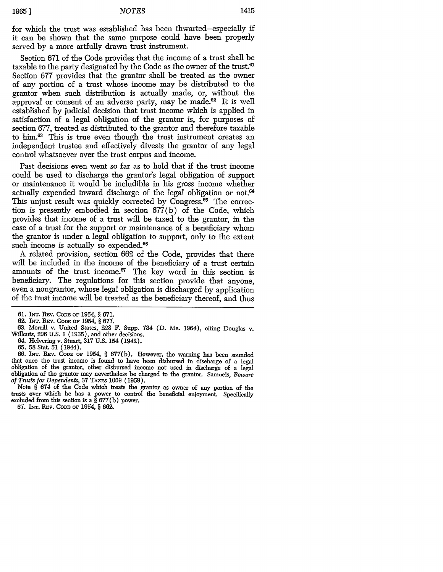for which the trust was established has been thwarted-especially **if** it can be shown that the same purpose could have been properly served by a more artfully drawn trust instrument.

Section 671 of the Code provides that the income of a trust shall be taxable to the party designated by the Code as the owner of the trust.<sup>61</sup> Section 677 provides that the grantor shall be treated as the owner of any portion of a trust whose income may be distributed to the grantor when such distribution is actually made, or, without the approval or consent of an adverse party, may be made.<sup>62</sup> It is well established by judicial decision that trust income which is applied in satisfaction of a legal obligation of the grantor is, for purposes of section 677, treated as distributed to the grantor and therefore taxable to him. 63 This is true even though the trust instrument creates an independent trustee and effectively divests the grantor of any legal control whatsoever over the trust corpus and income.

Past decisions even went so far as to hold that if the trust income could be used to discharge the grantor's legal obligation of support or maintenance it would be includible in his gross income whether actually expended toward discharge of the legal obligation or not.<sup>64</sup> This unjust result was quickly corrected by Congress.<sup>65</sup> The correction is presently embodied in section 677(b) of the Code, which provides that income of a trust will be taxed to the grantor, in the case of a trust for the support or maintenance of a beneficiary whom the grantor is under a legal obligation to support, only to the extent such income is actually so expended.<sup>66</sup>

A related provision, section 662 of the Code, provides that there will be included in the income of the beneficiary of a trust certain amounts of the trust income. $\sigma$  The key word in this section is beneficiary. The regulations for this section provide that anyone, even a nongrantor, whose legal obligation is discharged by application of the trust income will be treated as the beneficiary thereof, and thus

66. INT. **REv.** CODE **OF** 1954, § 677(b). However, the warning has been sounded that once the trust income is found to have been disbursed in discharge of a legal obligation of the grantor, other disbursed income not used in discharge of a legal obligation of the grantor may nevertheless be charged to the grantor. Samuels, *Beware of Trusts for Dependents,* **37** TAxEs 1009 (1959).

Note § 674 of the Code which treats the grantor as owner of any portion of the trusts over which he has a power to control the beneficial enjoyment. Specifically excluded from this section is a  $\S 677(b)$  power.

**67.** INT. REv. **CODE OF** 1954, § **662.**

<sup>61.</sup> INT. REv. **CODE** OF 1954, § 671.

<sup>62.</sup> **INT.** REV. CODE OF 1954, § 677.

<sup>63.</sup> Morrill v. United States, **228** F. Supp. 734 (D. Me. 1964), citing Douglas v. Willcuts, **296** U.S. 1 (1935), and other decisions.

<sup>64.</sup> Helvering v. Stuart, 317 U.S. 154 (1942).

<sup>65. 58</sup> Stat. 51 (1944).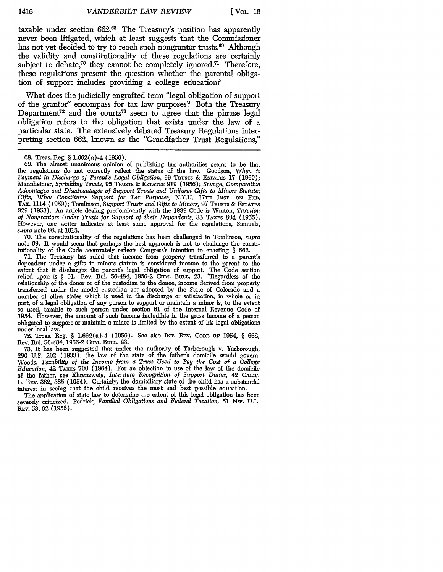taxable under section 662.68 The Treasury's position has apparently never been litigated, which at least suggests that the Commissioner has not yet decided to try to reach such nongrantor trusts.<sup>69</sup> Although the validity and constitutionality of these regulations are certainly subject to debate,<sup>70</sup> they cannot be completely ignored.<sup>71</sup> Therefore, these regulations present the question whether the parental obligation of support includes providing a college education?

What does the judicially engrafted term 'legal obligation of support of the grantor" encompass for tax law purposes? Both the Treasury Department<sup>72</sup> and the courts<sup>73</sup> seem to agree that the phrase legal obligation refers to the obligation that exists under the law of a particular state. The extensively debated Treasury Regulations interpreting section 662, known as the "Grandfather Trust Regulations,"

70. The constitutionality of the regulations has been challenged in Tomlinson, *supra* note 69. It would seem that perhaps the best approach is not to challenge the constitutionality of the Code accurrately reflects Congress's intention in enacting § 662.

71. The Treasury has ruled that income from property transferred to a parent's dependent under a gifts to minors statute is considered income to the parent to the extent that it discharges the parent's legal obligation of support. The Code section relied upon is § 61. Rev. Rul. 56-484, 1956-2 Cum. BULL. 23. "Regardless of the relationship of the donor or of the custodian to the donee, income derived from property transferred under the model custodian act adopted by the State of Colorado and a number of other states which is used in the discharge or satisfaction, in whole or in part, of a legal obligation of any person to support or maintain a minor is, to the extent so used, taxable to such person under section 61 of the Internal Revenue Code of 1954. However, the amount of such income includible in the gross income of a person obligated to support or maintain a minor is limited **by** the extent of his legal obligations under local law."

72. Treas. Reg. § 1.662(a)-4 (1956). See also **INT. REv.** CODE OF 1954, § 662; Rev. Rul. 56-484, 1956-2 Cum. BuLL. 23.

73. It has been suggested that under the authority of Yarborough v. Yarborough, **290** U.S. 202 (1933), the law of the state of the father's domicile would govern. Woods, *Taxability of the Income from a Trust Used to Pay the Cost of a College Education,* 42 **TAxEs** 700 (1964). For an objection to use of the law of the domicile of the father, see Ehrenzweig, *Interstate Recognition of Support Duties,* 42 **CA. .** L. REv. 382, 385 (1954). Certainly, the domiciliary state of the child has a substantial Interest in seeing that the child receives the most and best possible education.<br>The application of state law to determine the extent of this legal obligation has been

The application of state law to determine the extent of this legal obligation has been severely criticized. Pedrick, *Familial Obligations and Federal Taxation,* 51 Nw. U.L. **REv. 53, 62 (1956).**

<sup>68.</sup> Treas. Reg. § 1.662(a)-4 (1956).

**<sup>69.</sup>** The almost unanimous opinion of publishing tax authorities seems to be that the regulations do not correctly reflect the status of the law. Goodson, When *is Payment in Discharge of Parent's Legal Obligation,* 99 **TRUSTS &** ESTATES 17 (1960); Mannheimer, *Sprinkling Trusts,* 95 TRusTs **&** ESTATES 919 (1956); Savage, *Comparative Advantages and Disadvantages of Support Trusts and Uniform Gifts to Minors Statute; Gifts, What Constitutes Support for Tax Purposes,* N.Y.U. **17TH** INST. **ON F.** TAx. 1114 (1959); Tomlinson, *Support Trusts and Gifts to Minors,* 97 TRuSTS **& ESTATES** 929 (1958). An article dealing predominantly with the 1939 Code is Winton, *Taxation of Nongrantors Under Trusts for Support of their Dependents,* **33 TAxEs** 804 (1955). However, one writer indicates at least some approval for the regulations, Samuels, *supra* note **66,** at 1013.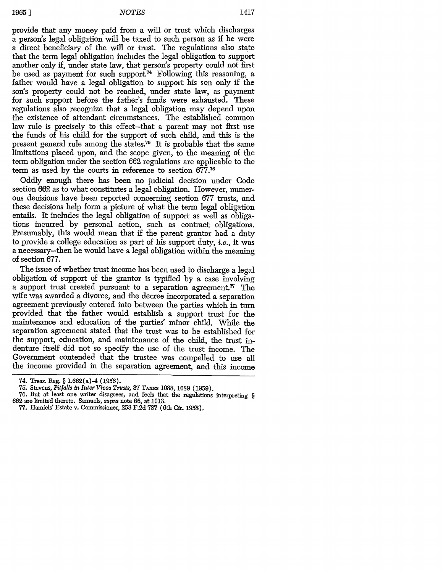**1965** ] *NOTES* 1417

provide that any money paid from a will or trust which discharges a person's legal obligation will be taxed to such person as if he were a direct beneficiary of the will or trust. The regulations also state that the term legal obligation includes the legal obligation to support another only if, under state law, that person's property could not first be used as payment for such support.<sup>74</sup> Following this reasoning, a father would have a legal obligation to support his son only if the son's property could not be reached, under state law, as payment for such support before the father's funds were exhausted. These regulations also recognize that a legal obligation may depend upon the existence of attendant circumstances. The established common law rule is precisely to this effect-that a parent may not first use the funds of his child for the support of such child, and this is the present general rule among the states.<sup>75</sup> It is probable that the same limitations placed upon, and the scope given, to the meaning of the term obligation under the section **662** regulations are applicable to the term as used by the courts in reference to section 677.76

Oddly enough there has been no judicial decision under Code section 662 as to what constitutes a legal obligation. However, numerous decisions have been reported concerning section 677 trusts, and these decisions help form a picture of what the term legal obligation entails. It includes the legal obligation of support as well as obligations incurred by personal action, such as contract obligations. Presumably, this would mean that if the parent grantor had a duty to provide a college education as part of his support duty, i.e., it was a necessary-then he would have a legal obligation within the meaning of section 677.

The issue of whether trust income has been used to discharge a legal obligation of support of the grantor is typified by a case involving a support trust created pursuant to a separation agreement.<sup> $77$ </sup> The wife was awarded a divorce, and the decree incorporated a separation agreement previously entered into between the parties which in turn provided that the father would establish a support trust for the maintenance and education of the parties' minor child. While the separation agreement stated that the trust was to be established for the support, education, and maintenance of the child, the trust indenture itself did not so specify the use of the trust income. The Government contended that the trustee was compelled to use all the income provided in the separation agreement, and this income

<sup>74.</sup> Treas. Reg. § 1.662(a)-4 (1956).

**<sup>75.</sup>** Stevens, *Pitfalls in Inter Vivos Trusts,* **37** TAxEs 1088, 1089 (1959).

**<sup>76.</sup>** But at least one writer disagrees, and feels that the regulations interpreting § **662** are limited thereto. Samuels, *supra* note 66, at 1013.

**<sup>77.</sup>** Hamiels' Estate v. Commissioner, **253** F.2d 787 (6th Cir. 1958).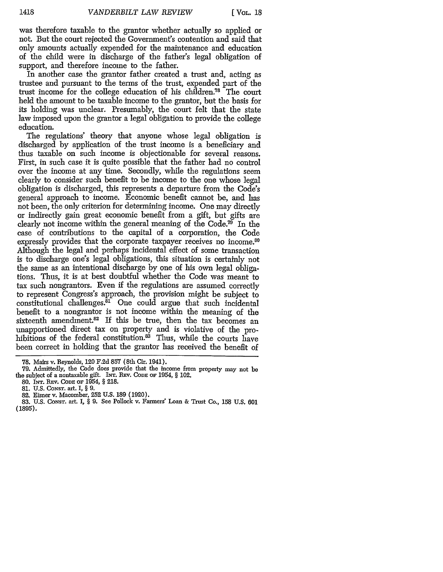was therefore taxable to the grantor whether actually so applied or not. But the court rejected the Government's contention and said that only amounts actually expended for the maintenance and education of the child were in discharge of the father's legal obligation of support, and therefore income to the father.

In another case the grantor father created a trust and, acting as trustee and pursuant to the terms of the trust, expended part of the trust income for the college education of his children."' The court held the amount to be taxable income to the grantor, but the basis for its holding was unclear. Presumably, the court felt that the state law imposed upon the grantor a legal obligation to provide the college education.

The regulations' theory that anyone whose legal obligation is discharged by application of the trust income is a beneficiary and thus taxable on such income is objectionable for several reasons. First, in such case it is quite possible that the father had no control over the income at any time. Secondly, while the regulations seem clearly to consider such benefit to be income to the one whose legal obligation is discharged, this represents a departure from the Code's general approach to income. Economic benefit cannot be, and has not been, the only criterion for determining income. One may directly or indirectly gain great economic benefit from a gift, but gifts are clearly not income within the general meaning of the Code.<sup>79</sup> In the case of contributions to the capital of a corporation, the Code expressly provides that the corporate taxpayer receives no income.<sup>80</sup> Although the legal and perhaps incidental effect of some transaction is to discharge one's legal obligations, this situation is certainly not the same as an intentional discharge by one of his own legal obligations. Thus, it is at best doubtful whether the Code was meant to tax such nongrantors. Even if the regulations are assumed correctly to represent Congress's approach, the provision might be subject to constitutional challenges.8' One could argue that such incidental benefit to a nongrantor is not income within the meaning of the sixteenth amendment.<sup>82</sup> If this be true, then the tax becomes an unapportioned direct tax on property and is violative of the prohibitions of the federal constitution.<sup>83</sup> Thus, while the courts have been correct in holding that the grantor has received the benefit of

82. Eisner v. Macomber, **252** U.S. 189 (1920).

**<sup>78.</sup>** Mairs v. Reynolds, 120 F.2d 857 (8th Cir. 1941).

<sup>79.</sup> Admittedly, the Code does provide that the income from property may not be the subject of a nontaxable gift. INT. REv. **CODE** OF 1954, § 102.

<sup>80.</sup> INT. **REv. CODE** OF 1954, § 218.

<sup>81.</sup> U.S. CONST. art. I, § 9.

<sup>83.</sup> U.S. **CONST.** art. I, § 9. See Pollock v. Farmers' Loan & Trust Co., 158 U.S. 601 **(1895).**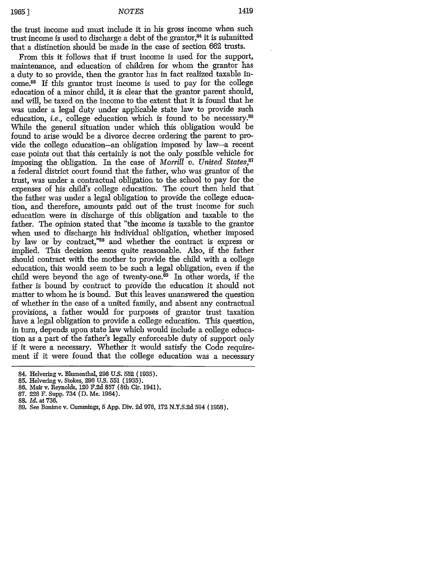the trust income and must include it in his gross income when such trust income is used to discharge a debt of the grantor,<sup>84</sup> it is submitted that a distinction should be made in the case of section 662 trusts.

From this it follows that if trust income is used for the support, maintenance, and education of children for whom the grantor has a duty to so provide, then the grantor has in fact realized taxable income.85 If this grantor trust income is used to pay for the college education of a minor child, it is clear that the grantor parent should, and will, be taxed on the income to the extent that it is found that he was under a legal duty under applicable state law to provide such education, *i.e.*, college education which is found to be necessary.<sup>86</sup> While the general situation under which this obligation would be found to arise would be a divorce decree ordering the parent to provide the college education-an obligation imposed by law-a recent case points out that this certainly is not the ouly possible vehicle for imposing the obligation. In the case of *Morrill v. United States,8 <sup>7</sup>* a federal district court found that the father, who was grantor of the trust, was under a contractual obligation to the school to pay for the expenses of his child's college education. The court then held that the father was under a legal obligation to provide the college education, and therefore, amounts paid out of the trust income for such education were in discharge of this obligation and taxable to the father. The opinion stated that "the income is taxable to the grantor when used to discharge his individual obligation, whether imposed by law or by contract,"88 and whether the contract is express or implied. This decision seems quite reasonable. Also, if the father should contract with the mother to provide the child with a college education, this would seem to be such a legal obligation, even if the child were beyond the age of twenty-one.<sup>89</sup> In other words, if the father is bound by contract to provide the education it should not matter to whom he is bound. But this leaves unanswered the question of whether in the case of a united family, and absent any contractual provisions, a father would for purposes of grantor trust taxation have a legal obligation to provide a college education. This question, in turn, depends upon state law which would include a college education as a part of the father's legally enforceable duty of support only if it were a necessary. Whether it would satisfy the Code requirement if it were found that the college education was a necessary

<sup>84.</sup> Helvering v. Blumenthal, **296** U.S. 552 (1935).

<sup>85.</sup> Helvering v. Stokes, 296 U.S. 551 (1935).

<sup>86.</sup> Mair **v.** Reynolds, 120 F.2d 857 (8th Cir. 1941).

<sup>87.</sup> **228** F. Supp. 734 (D. Me. 1964).

**<sup>88.</sup>** *Id.* at 736.

**<sup>89.</sup>** See Bonime v. Cummings, **5** App. Div. **2d** 976, **172** N.Y.S.2d 594 (1958).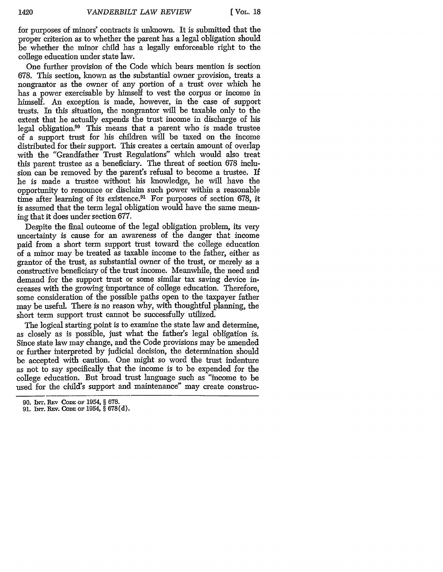for purposes of minors' contracts is unknown. It is submitted that the proper criterion as to whether the parent has a legal obligation should be whether the minor child has a legally enforceable right to the college education under state law.

One further provision of the Code which bears mention is section 678. This section, known as the substantial owner provision, treats a nongrantor as the owner of any portion of a trust over which he has a power exercisable by himself to vest the corpus or income in himself. An exception is made, however, in the case of support trusts. In this situation, the nongrantor will be taxable only to the extent that he actually expends the trust income in discharge of his legal obligation.90 This means that a parent who is made trustee of a support trust for his children will be taxed on the income distributed for their support. This creates a certain amount of overlap with the "Grandfather Trust Regulations" which would also treat this parent trustee as a beneficiary. The threat of section 678 inclusion can be removed by the parent's refusal to become a trustee. If he is made a trustee without his knowledge, he will have the opportunity to renounce or disclaim such power within a reasonable time after learning of its existence.<sup>91</sup> For purposes of section 678, it is assumed that the term legal obligation would have the same meaning that it does under section 677.

Despite the final outcome of the legal obligation problem, its very uncertainty is cause for an awareness of the danger that income paid from a short term support trust toward the college education of a minor may be treated as taxable income to the father, either as grantor of the trust, as substantial owner of the trust, or merely as a constructive beneficiary of the trust income. Meanwhile, the need and demand for the support trust or some similar tax saving device increases with the growing importance of college education. Therefore, some consideration of the possible paths open to the taxpayer father may be useful. There is no reason why, with thoughtful planning, the short term support trust cannot be successfully utilized.

The logical starting point is to examine the state law and determine, as closely as is possible, just what the father's legal obligation is. Since state law may change, and the Code provisions may be amended or further interpreted by judicial decision, the determination should be accepted with caution. One might so word the trust indenture as not to say specifically that the income is to be expended for the college education. But broad trust language such as "income to be used for the child's support and maintenance" may create construe-

**<sup>90.</sup> INT. REV CODE** OF **1954,** § **678.**

**<sup>91.</sup> Nr. REV. CODE OF 1954,** § **678(d).**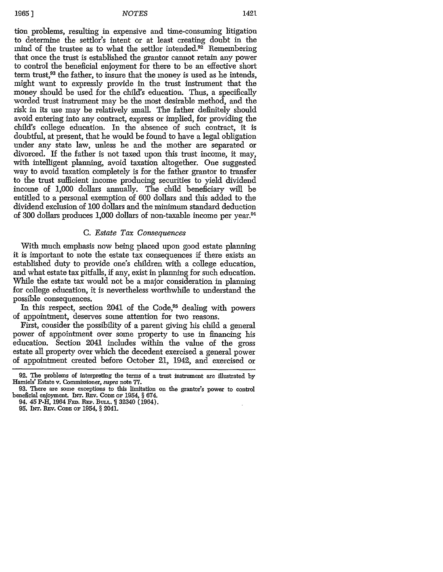tion problems, resulting in expensive and time-consuming litigation to determine the settlor's intent or at least creating doubt in the mind of the trustee as to what the settlor intended.92 Remembering that once the trust is established the grantor cannot retain any power to control the beneficial enjoyment for there to be an effective short term trust,<sup>93</sup> the father, to insure that the money is used as he intends, might want to expressly provide in the trust instrument that the money should be used for the child's education. Thus, a specifically worded trust instrument may be the most desirable method, and the risk in its use may be relatively small. The father definitely should avoid entering into any contract, express or implied, for providing the child's college education. In the absence of such contract, it is doubtful, at present, that he would be found to have a legal obligation under any state law, unless he and the mother are separated or divorced. If the father is not taxed upon this trust income, it may, with intelligent planning, avoid taxation altogether. One suggested way to avoid taxation completely is for the father grantor to transfer to the trust sufficient income producing securities to yield dividend income of 1,000 dollars annually. The child beneficiary will be entitled to a personal exemption of 600 dollars and this added to the dividend exclusion of 100 dollars and the minimum standard deduction of 300 dollars produces 1,000 dollars of non-taxable income per year.94

## *C. Estate Tax Consequences*

With much emphasis now being placed upon good estate planning it is important to note the estate tax consequences if there exists an established duty to provide one's children with a college education, and what estate tax pitfalls, if any, exist in planning for such education. While the estate tax would not be a major consideration in planning for college education, it is nevertheless worthwhile to understand the possible consequences.

In this respect, section 2041 of the Code,<sup>95</sup> dealing with powers of appointment, deserves some attention for two reasons.

First, consider the possibility of a parent giving his child a general power of appointment over some property to use in financing his education. Section 2041 includes within the value of the gross estate all property over which the decedent exercised a general power of appointment created before October 21, 1942, and exercised or

<sup>92.</sup> The problems of interpreting the terms of a trust instrument are illustrated by Hamiels' Estate v. Commissioner, *supra* note 77.

<sup>93.</sup> There are some exceptions to this limitation on the grantor's power to control beneficial enjoyment. INT. **REv. CODE** OF 1954, § 674. 94. 45 P-H, 1964 **FED. REP. BuLL.** 1 32340 (1964).

**<sup>95.</sup> INT.** REv. **CODE OF** 1954, § 2041.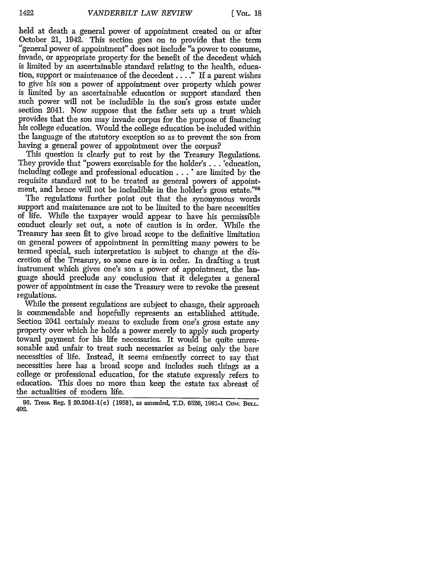held at death a general power of appointment created on or after October 21, 1942. This section goes on to provide that the term "general power of appointment" does not include "a power to consume, invade, or appropriate property for the benefit of the decedent which is limited by an ascertainable standard relating to the health, education, support or maintenance of the decedent .... **."** If a parent wishes to give his son a power of appointment over property which power is limited by an ascertainable education or support standard then such power will not be includible in the son's gross estate under section 2041. Now suppose that the father sets up a trust which provides that the son may invade corpus for the purpose of financing his college education. Would the college education be included within the language of the statutory exception so as to prevent the son from having a general power of appointment over the corpus?

This question is clearly put to rest by the Treasury Regulations. They provide that "powers exercisable for the holder's . . . 'education, including college and professional education **. .** . **'** are limited by the requisite standard not to be treated as general powers of appointment, and hence will not be includible in the holder's gross estate."<sup>96</sup>

The regulations further point out that the synonymous words support and maintenance are not to be limited to the bare necessities of life. While the taxpayer would appear to have his permissible conduct clearly set out, a note of caution is in order. While the Treasury has seen fit to give broad scope to the definitive limitation on general powers of appointment in permitting many powers to be termed special, such interpretation is subject to change at the discretion of the Treasury, so some care is in order. In drafting a trust instrument which gives one's son a power of appointment, the language should preclude any conclusion that it delegates a general power of appointment in case the Treasury were to revoke the present regulations.

While the present regulations are subject to change, their approach is commendable and hopefully represents an established attitude. Section 2041 certainly means to exclude from one's gross estate any property over which he holds a power merely to apply such property toward payment for his life necessaries. It would be quite unreasonable and unfair to treat such necessaries as being only the bare necessities of life. Instead, it seems eminently correct to say that necessities here has a broad scope and includes such things as a college or professional education, for the statute expressly refers to education. This does no more than keep the estate tax abreast **of** the actualities of modem life.

**<sup>96.</sup>** Treas. Reg. § 20.2041-1(c) **(1958),** as amended, T.D. **6526, 1961-1** CuM. **BULL.** 402.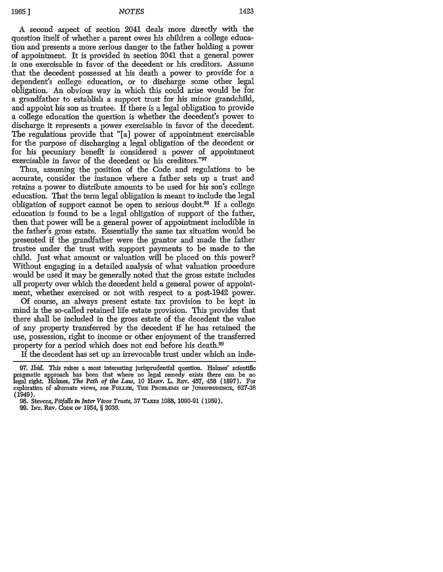A second aspect of section 2041 deals more directly with the question itself of whether a parent owes his children a college education and presents a more serious danger to the father holding a power of appointment. It is provided in section 2041 that a general power is one exercisable in favor of the decedent or his creditors. Assume that the decedent possessed at his death a power to provide for a dependent's college education, or to discharge some other legal obligation. An obvious way in which this could arise would be for a grandfather to establish a support trust for his minor grandchild, and appoint his son as trustee. If there is a legal obligation to provide a college education the question is whether the decedent's power to discharge it represents a power exercisable in favor of the decedent. The regulations provide that "[a] power of appointment exercisable for the purpose of discharging a legal obligation of the decedent or for his pecuniary benefit is considered a power of appointment exercisable in favor of the decedent or his creditors."<sup>97</sup>

Thus, assuming the position of the Code and regulations to be accurate, consider the instance where a father sets up a trust and retains a power to distribute amounts to be used for his son's college education. That the term legal obligation is meant to include the legal obligation of support cannot be open to serious doubt.<sup>98</sup> If a college education is found to be a legal obligation of support of the father, then that power will be a general power of appointment includible in the father's gross estate. Essentially the same tax situation would be presented **if** the grandfather were the grantor and made the father trustee under the trust with support payments to be made to the child. Just what amount or valuation will be placed on this power? Without engaging in a detailed analysis of what valuation procedure would be used it may be generally noted that the gross estate includes all property over which the decedent held a general power of appointment, whether exercised or not with respect to a post-1942 power.

Of course, an always present estate tax provision to be kept in mind is the so-called retained life estate provision. This provides that there shall be included in the gross estate of the decedent the value of any property transferred by the decedent if he has retained the use, possession, right to income or other enjoyment of the transferred property for a period which does not end before his death.99

If the decedent has set up an irrevocable trust under which an inde-

<sup>97.</sup> *Ibid.* This raises a most interesting jurisprudential question. Holmes' scientific pragmatic approach has been that where no legal remedy exists there can be no legal right. Holmes, *The Path of the Law,* 10 HAnv. L. **REv.** 457, 458 (1897). For exploration of alternate views, see FULLER, THE PROBLEMS OF JURISPRUDENCE, 627-38 (1949).

**<sup>98.</sup>** Stevens, *Pitfalls in Inter Vivos Trusts,* 37 TAXES 1088, 1090-91 (1959).

<sup>99.</sup> INT. REV. CODE OF 1954, § 2036.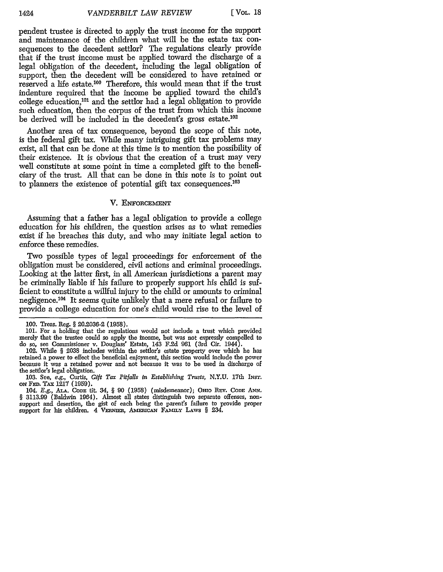pendent trustee is directed to apply the trust income for the support and maintenance of the children what will be the estate tax consequences to the decedent settlor? The regulations clearly provide that if the trust income must be applied toward the discharge of a legal obligation of the decedent, including the legal obligation of support, then the decedent will be considered to have retained or reserved a life estate.100 Therefore, this would mean that if the trust indenture required that the income be applied toward the child's college education, 101 and the settlor had a legal obligation to provide such education, then the corpus of the trust from which this income be derived will be included in the decedent's gross estate.<sup>102</sup>

Another area of tax consequence, beyond the scope of this note, is the federal gift tax. While many intriguing gift tax problems may exist, all that can be done at this time is to mention the possibility of their existence. It is obvious that the creation of a trust may very well constitute at some point in time a completed gift to the beneficiary of the trust. **All** that can be done in this note is to point out to planners the existence of potential gift tax consequences.<sup>103</sup>

#### V. ENFORCEMENT

Assuming that a father has a legal obligation to provide a college education for his children, the question arises as to what remedies exist if he breaches this duty, and who may initiate legal action to enforce these remedies.

Two possible types of legal proceedings for enforcement of the obligation must be considered, civil actions and criminal proceedings. Looking at the latter first, in all American jurisdictions a parent may be criminally liable if his failure to properly support his child is sufficient to constitute a willful injury to the child or amounts to criminal negligence.<sup>104</sup> It seems quite unlikely that a mere refusal or failure to provide a college education for one's child would rise to the level of

<sup>100.</sup> Treas. Reg. § 20.2036-2 (1958).

<sup>101.</sup> For a holding that the regulations would not include a trust which provided merely that the trustee could so apply the income, but was not expressly compelled to do so, see Commissioner v. Douglass' Estate, 143 F.2d **961** (3rd Cir. 1944).

<sup>102.</sup> While § 2038 includes within the settlor's estate property over which he has retained a power to effect the beneficial enjoyment, this section would include the power because it was a retained power and not because it was to be used in discharge of the settlor's legal obligation.

<sup>103.</sup> See, e.g., Curtis, *Gift Tax Pitfals in Establishing Trusts,* N.Y.U. 17th INST. ox FEan. TAx 1217 (1959).

<sup>104.</sup> *E.g.,* **A.A.** CODE tit. 34, § 90 (1958) (misdemeanor); OHmo REv. **CODE ANN.** *§* 3113.99 (Baldwin 1964). Almost all states distinguish two separate offenses, nonsupport and desertion, the gist of each being the parent's failure to provide proper support for his children. 4 VERNIER, AMERICAN FAMILY LAWS § 234.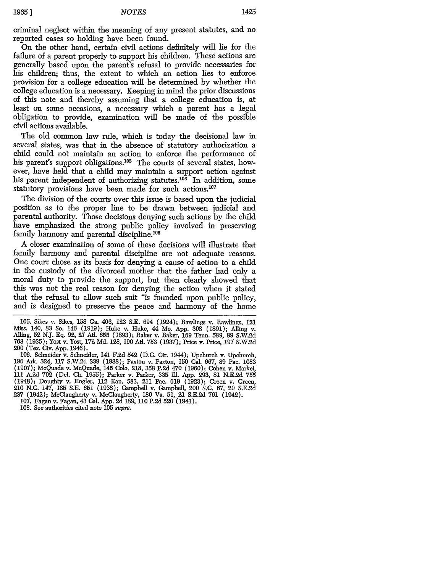criminal neglect within the meaning of any present statutes, and no reported cases so holding have been found.

On the other hand, certain civil actions definitely will lie for the failure of a parent properly to support his children. These actions are generally based upon the parent's refusal to provide necessaries for his children; thus, the extent to which an action lies to enforce provision for a college education will be determined by whether the college education is a necessary. Keeping in mind the prior discussions of this note and thereby assuming that a college education is, at least on some occasions, a necessary which a parent has a legal obligation to provide, examination will be made of the possible civil actions available.

The old common law rule, which is today the decisional law in several states, was that in the absence of statutory authorization a child could not maintain an action to enforce the performance of his parent's support obligations.<sup>105</sup> The courts of several states, however, have held that a child may maintain a support action against his parent independent of authorizing statutes.<sup>106</sup> In addition, some statutory provisions have been made for such actions.<sup>107</sup>

The division of the courts over this issue is based upon the judicial position as to the proper line to be drawn between judicial and parental authority. Those decisions denying such actions by the child have emphasized the strong public policy involved in preserving family harmony and parental discipline.<sup>108</sup>

A closer examination of some of these decisions will illustrate that family harmony and parental discipline are not adequate reasons. One court chose as its basis for denying a cause of action to a child in the custody of the divorced mother that the father had only a moral duty to provide the support, but then clearly showed that this was not the real reason for denying the action when it stated that the refusal to allow such suit "is founded upon public policy, and is designed to preserve the peace and harmony of the home

<sup>105.</sup> Sikes v. Sikes, 158 Ga. 406, 123 S.E. 694 (1924); Rawlings v. Rawlings, 121 Miss. 140, 83 So. 146 (1919); Huke v. Huke, 44 Mo. App. 308 (1891); Ailing v. Ailing, **52** N.J. **Eq.** 92, **27** Ad. 655 (1893); Baker v. Baker, 169 Tenn. 589, 89 S.W.2d 763 (1935); Yost v. Yost, **172** Md. 128, 190 At. 753 (1937); Price v. Price, **197** S.W.2d 200 (Tex. Civ. App. 1946).

<sup>106.</sup> Schneider v. Schneider, 141 F.2d 542 (D.C. Cir. 1944); Upchurch v. Upchurch, 196 Ark. 324, **117** S.W.2d 339 (1938); Paxton v. Paxton, **150** Cal. 667, 89 Pac. 1083 (1907); McQuade v. McQuade, 145 Colo. 218, 358 **P.2d** 470 (1960); Cohen v. Markel, 111 A.2d **702** (Del. Ch. 1955); Parker v. Parker, 335 Ill. App. 293, 81 N.E.2d 755 (1948); Doughty v. Engler, 112 Kan. 583, 211 Pac. 619 (1923); Green v. Green, 210 N.C. 147, 185 S.E. 651 (1938); Campbell v. Campbell, 200 S.C. 67, 20 S.E.2d **237** (1942); McClaugherty v. McClaugherty, 180 Va. 51, 21 S.E.2d 761 (1942). 107. Fagan v. Fagan, 43 Cal. App. 2d 189, 110 **P.2d** 520 (1941).

**<sup>108.</sup>** See authorities cited note **105** supra.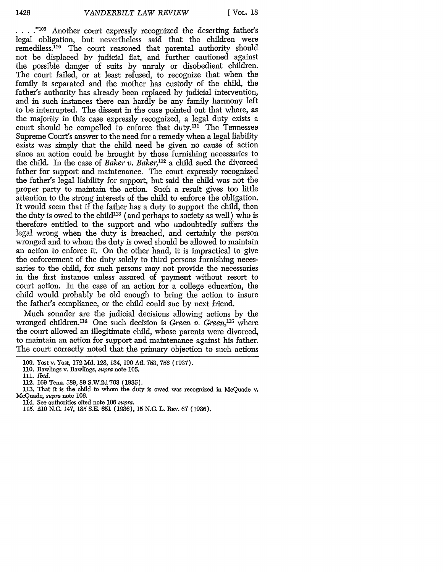*....* **,"109** Another court expressly recognized the deserting father's legal obligation, but nevertheless said that the children were remediless.<sup>110</sup> The court reasoned that parental authority should not be displaced by judicial fiat, and further cautioned against the possible danger of suits by unruly or disobedient children. The court failed, or at least refused, to recognize that when the family is separated and the mother has custody of the child, the father's authority has already been replaced by judicial intervention, and in such instances there can hardly be any family harmony left to be interrupted. The dissent in the case pointed out that where, as the majority in this case expressly recognized, a legal duty exists a court should be compelled to enforce that duty.<sup>111</sup> The Tennessee Supreme Court's answer to the need for a remedy when a legal liability exists was simply that the child need be given no cause of action since an action could be brought by those furnishing necessaries to the child. In the case of *Baker v. Baker*,<sup>112</sup> a child sued the divorced father for support and maintenance. The court expressly recognized the father's legal liability for support, but said the child was not the proper party to maintain the action. Such a result gives too little attention to the strong interests of the child to enforce the obligation. It would seem that if the father has a duty to support the child, then the duty is owed to the child<sup>113</sup> (and perhaps to society as well) who is therefore entitled to the support and who undoubtedly suffers the legal wrong when the duty is breached, and certainly the person wronged and to whom the duty is owed should be allowed to maintain an action to enforce it. On the other hand, it is impractical to give the enforcement of the duty solely to third persons furnishing necessaries to the child, for such persons may not provide the necessaries in the first instance unless assured of payment without resort to court action. In the case of an action for a college education, the child would probably be old enough to bring the action to insure the father's compliance, or the child could sue by next friend.

Much sounder are the judicial decisions allowing actions by the wronged children.<sup>114</sup> One such decision is *Green v. Green*,<sup>115</sup> where the court allowed an illegitimate child, whose parents were divorced, to maintain an action for support and maintenance against his father. The court correctly noted that the primary objection to such actions

111. *ibid.*

- 114. See authorities cited note 106 supra.
- 115. 210 N.C. 147, 185 S.E. 651 (1936), 15 N.C. L. REV. 67 (1936).

<sup>109.</sup> Yost v. Yost, 172 Md. 128, 134, 190 Ad. 753, 756 (1937).

<sup>110.</sup> Rawlings v. Rawlings, supra note 105.

<sup>112. 169</sup> Tenn. 589, 89 S.W.2d 763 (1935).

<sup>113.</sup> That it is the child to whom the duty is owed was recognized in McQuade v. McQuade, supra note 106.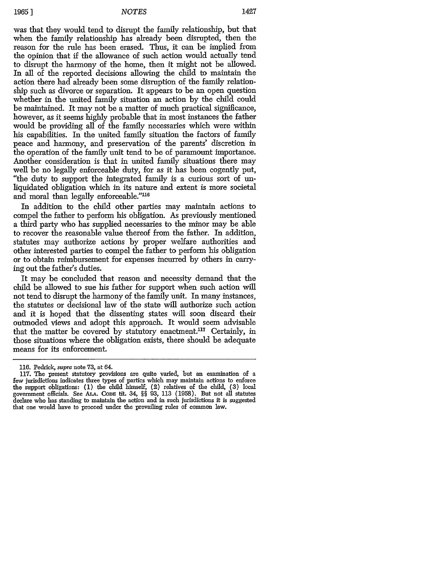was that they would tend to disrupt the family relationship, but that when the family relationship has already been disrupted, then the reason for the rule has been erased. Thus, it can be implied from the opinion that if the allowance of such action would actually tend to disrupt the harmony of the home, then it might not be allowed. In all of the reported decisions allowing the child to maintain the action there had already been some disruption of the family relationship such as divorce or separation. It appears to be an open question whether in the united family situation an action by the child could be maintained. It may not be a matter of much practical significance, however, as it seems highly probable that in most instances the father would be providing all of the family necessaries which were within his capabilities. In the united family situation the factors of family peace and harmony, and preservation of the parents' discretion in the operation of the family unit tend to be of paramount importance. Another consideration is that in united family situations there may well be no legally enforceable duty, for as it has been cogently put, "the duty to support the integrated family is a curious sort of unliquidated obligation which in its nature and extent is more societal and moral than legally enforceable."116

In addition to the child other parties may maintain actions to compel the father to perform his obligation. As previously mentioned a third party who has supplied necessaries to the minor may be able to recover the reasonable value thereof from the father. In addition, statutes may authorize actions by proper welfare authorities and other interested parties to compel the father to perform his obligation or to obtain reimbursement for expenses incurred by others in carrying out the father's duties.

It may be concluded that reason and necessity demand that the child be allowed to sue his father for support when such action will not tend to disrupt the harmony of the family unit. In many instances, the statutes or decisional law of the state will authorize such action and it is hoped that the dissenting states will soon discard their outmoded views and adopt this approach. It would seem advisable that the matter be covered by statutory enactment.<sup>117</sup> Certainly, in those situations where the obligation exists, there should be adequate means for its enforcement.

<sup>116.</sup> Pedrick, *supra* note 73, at 64.

<sup>117.</sup> The present statutory provisions are quite varied, but an examination of a few jurisdictions indicates three types of parties which may maintain actions to enforce the support obligations: (1) the child himself, (2) relatives of the child, (3) local government officials. See ArA. CODE tit. 34, §§ 93, 113 (1958). But not all statutes declare who has standing to maintain the action and in such jurisdictions it is suggested that one would have to proceed under the prevailing rules of common law.